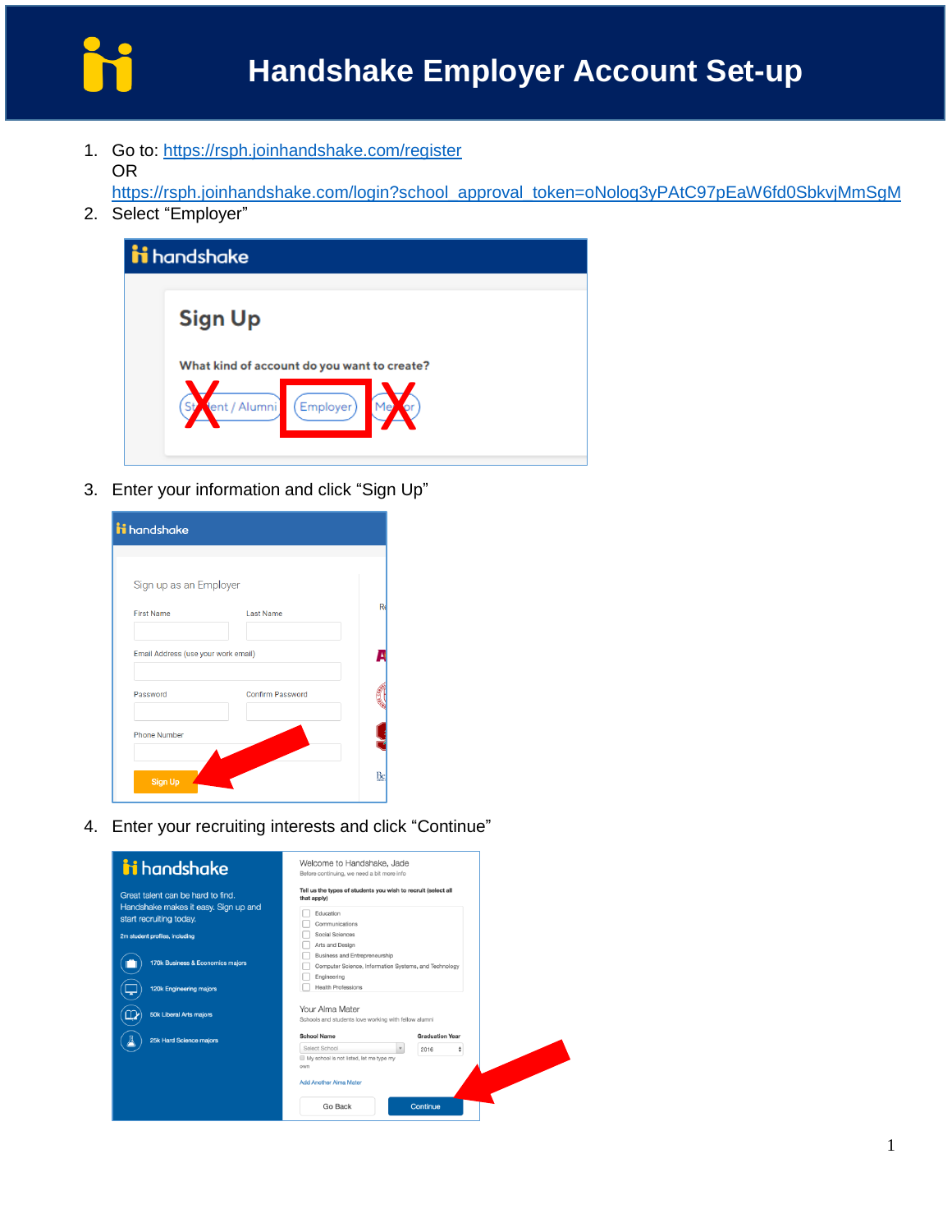

1. Go to:<https://rsph.joinhandshake.com/register> OR

https://rsph.joinhandshake.com/login?school\_approval\_token=oNolog3yPAtC97pEaW6fd0SbkvjMmSgM

2. Select "Employer"



3. Enter your information and click "Sign Up"

| <b>ii</b> handshake                 |                         |    |
|-------------------------------------|-------------------------|----|
| Sign up as an Employer              |                         |    |
| <b>First Name</b>                   | <b>Last Name</b>        | Re |
| Email Address (use your work email) |                         |    |
| Password                            | <b>Confirm Password</b> |    |
| <b>Phone Number</b>                 |                         |    |
| <b>Sign Up</b>                      |                         | Be |

4. Enter your recruiting interests and click "Continue"

| i handshake                                                                                          | Welcome to Handshake, Jade<br>Before continuing, we need a bit more info                                                                                 |
|------------------------------------------------------------------------------------------------------|----------------------------------------------------------------------------------------------------------------------------------------------------------|
| Great talent can be hard to find.<br>Handshake makes it easy. Sign up and<br>start recruiting today. | Tell us the types of students you wish to recruit (select all<br>that apply)<br>Education<br>Communications                                              |
| 2m student profiles, including                                                                       | Social Sciences<br>Arts and Design<br>Business and Entrepreneurship                                                                                      |
| 170k Business & Economics majors<br><b>120k Engineering majors</b>                                   | Computer Science, Information Systems, and Technology<br>Engineering<br><b>Health Professions</b>                                                        |
| <b>50k Liberal Arts majors</b>                                                                       | Your Alma Mater<br>Schools and students love working with fellow alumni                                                                                  |
| 25k Hard Science majors                                                                              | <b>School Name</b><br><b>Graduation Year</b><br>Select School<br>2016<br>My school is not listed, let me type my<br>own<br><b>Add Another Alma Mater</b> |
|                                                                                                      | Go Back<br>Continue                                                                                                                                      |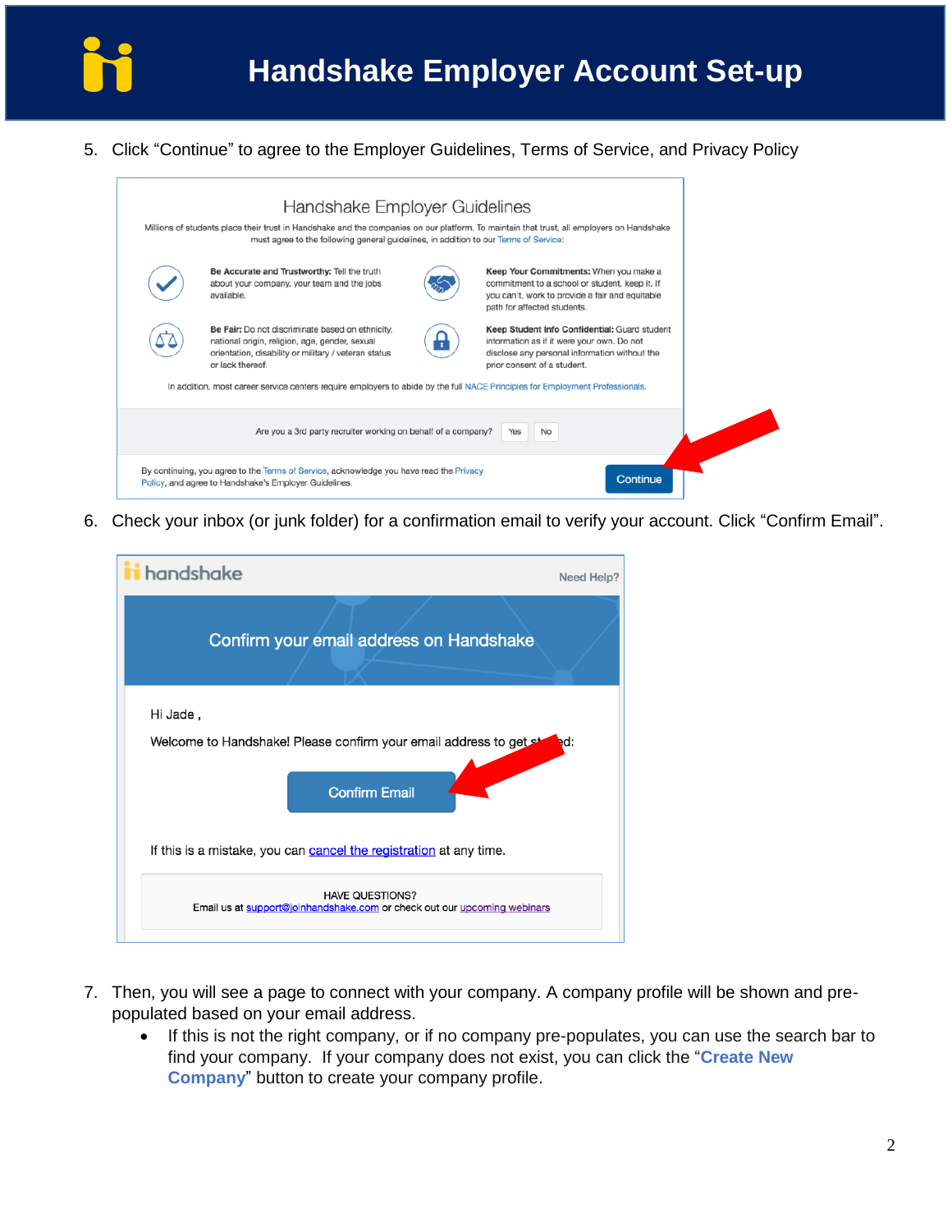

5. Click "Continue" to agree to the Employer Guidelines, Terms of Service, and Privacy Policy



6. Check your inbox (or junk folder) for a confirmation email to verify your account. Click "Confirm Email".



- 7. Then, you will see a page to connect with your company. A company profile will be shown and prepopulated based on your email address.
	- If this is not the right company, or if no company pre-populates, you can use the search bar to find your company. If your company does not exist, you can click the "**Create New Company**" button to create your company profile.